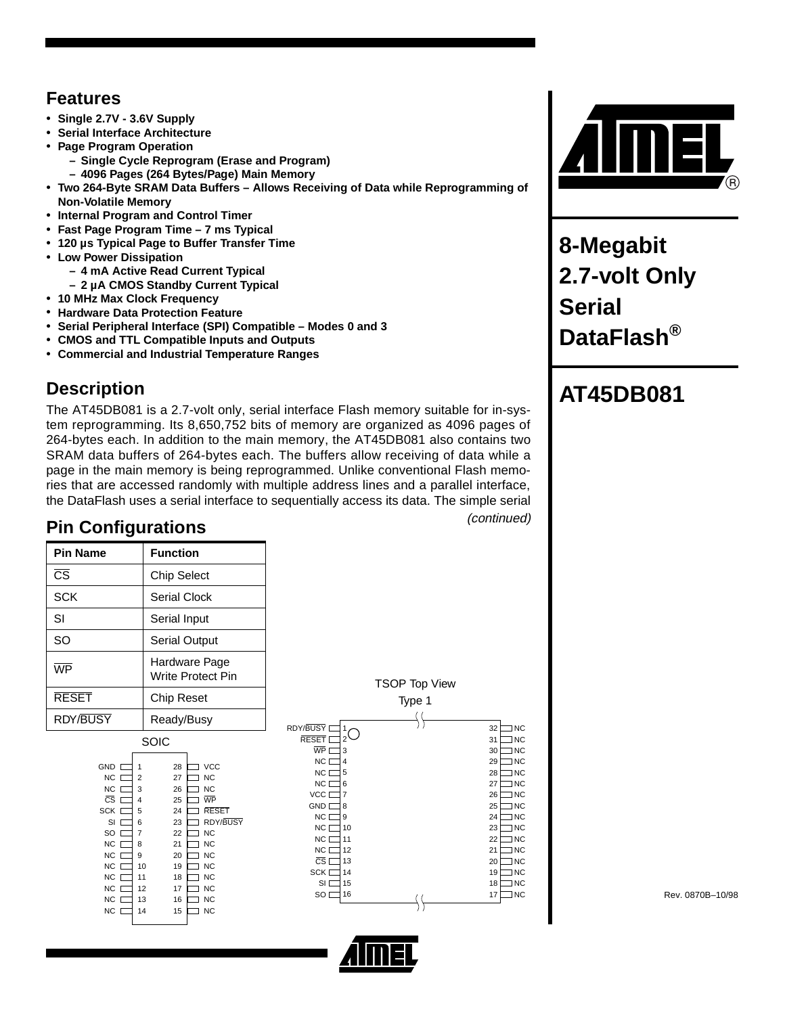## **Features**

- **Single 2.7V 3.6V Supply**
- **Serial Interface Architecture**
- **Page Program Operation**
- **Single Cycle Reprogram (Erase and Program)**
- **4096 Pages (264 Bytes/Page) Main Memory**
- **Two 264-Byte SRAM Data Buffers Allows Receiving of Data while Reprogramming of Non-Volatile Memory**
- **Internal Program and Control Timer**
- **Fast Page Program Time 7 ms Typical**
- **120 µs Typical Page to Buffer Transfer Time**
- **Low Power Dissipation**
	- **4 mA Active Read Current Typical**
		- **2 µA CMOS Standby Current Typical**
- **10 MHz Max Clock Frequency**
- **Hardware Data Protection Feature**
- **Serial Peripheral Interface (SPI) Compatible Modes 0 and 3**
- **CMOS and TTL Compatible Inputs and Outputs**
- **Commercial and Industrial Temperature Ranges**

## **Description**

The AT45DB081 is a 2.7-volt only, serial interface Flash memory suitable for in-system reprogramming. Its 8,650,752 bits of memory are organized as 4096 pages of 264-bytes each. In addition to the main memory, the AT45DB081 also contains two SRAM data buffers of 264-bytes each. The buffers allow receiving of data while a page in the main memory is being reprogrammed. Unlike conventional Flash memories that are accessed randomly with multiple address lines and a parallel interface, the DataFlash uses a serial interface to sequentially access its data. The simple serial



**8-Megabit 2.7-volt Only Serial DataFlash®**

# **AT45DB081**

(continued)

# **Pin Configurations**

| <b>Pin Name</b>        | <b>Function</b>                    |
|------------------------|------------------------------------|
| CS                     | <b>Chip Select</b>                 |
| <b>SCK</b>             | Serial Clock                       |
| SI                     | Serial Input                       |
| SO                     | <b>Serial Output</b>               |
| $\overline{\text{WP}}$ | Hardware Page<br>Write Protect Pin |
| <b>RESET</b>           | Chip Reset                         |
| RDY/BUSY               | Ready/Busy                         |

SOIC

VCC NC  $\Box$  NC WP RESET RDY/BUSY NC NC NC NC NC NC NC  $\Box$  NC

GND  $NC \square$  $NC \square$  $\overline{\text{CS}}$  $SCK \nightharpoonup$  $sI \Box$  $SO \Box$  $NC \square$  $NC \square$  $NC \square$  $NC \square$  $NC \square$  $NC \square$  $NC \square$ 

|                          |                 | <b>TSOP Top View</b> |                 |
|--------------------------|-----------------|----------------------|-----------------|
|                          |                 | Type 1               |                 |
|                          |                 |                      |                 |
|                          |                 |                      |                 |
| RDY/BUSY                 | 1               |                      | 32<br><b>NC</b> |
| <b>RESET I</b>           | $2^{^{\prime}}$ |                      | <b>NC</b><br>31 |
| $\overline{\text{WP}}$ ( | 3               |                      | <b>NC</b><br>30 |
| NC I                     | 4               |                      | <b>NC</b><br>29 |
| NC I                     | 5               |                      | <b>NC</b><br>28 |
| NC I                     | 6               |                      | <b>NC</b><br>27 |
| VCC [                    | $\overline{7}$  |                      | <b>NC</b><br>26 |
| GND [                    | 8               |                      | <b>NC</b><br>25 |
| NC [                     | 9               |                      | <b>NC</b><br>24 |
| NC [                     | 10              |                      | <b>NC</b><br>23 |
| NC [                     | 11              |                      | <b>NC</b><br>22 |
| NC [                     | 12              |                      | <b>NC</b><br>21 |
| $\overline{\text{CS}}$ [ | 13              |                      | <b>NC</b><br>20 |
| SCK[                     | 14              |                      | <b>NC</b><br>19 |
| SI I                     | 15              |                      | <b>NC</b><br>18 |
| SO [                     | 16              |                      | <b>NC</b><br>17 |
|                          |                 |                      |                 |
|                          |                 |                      |                 |

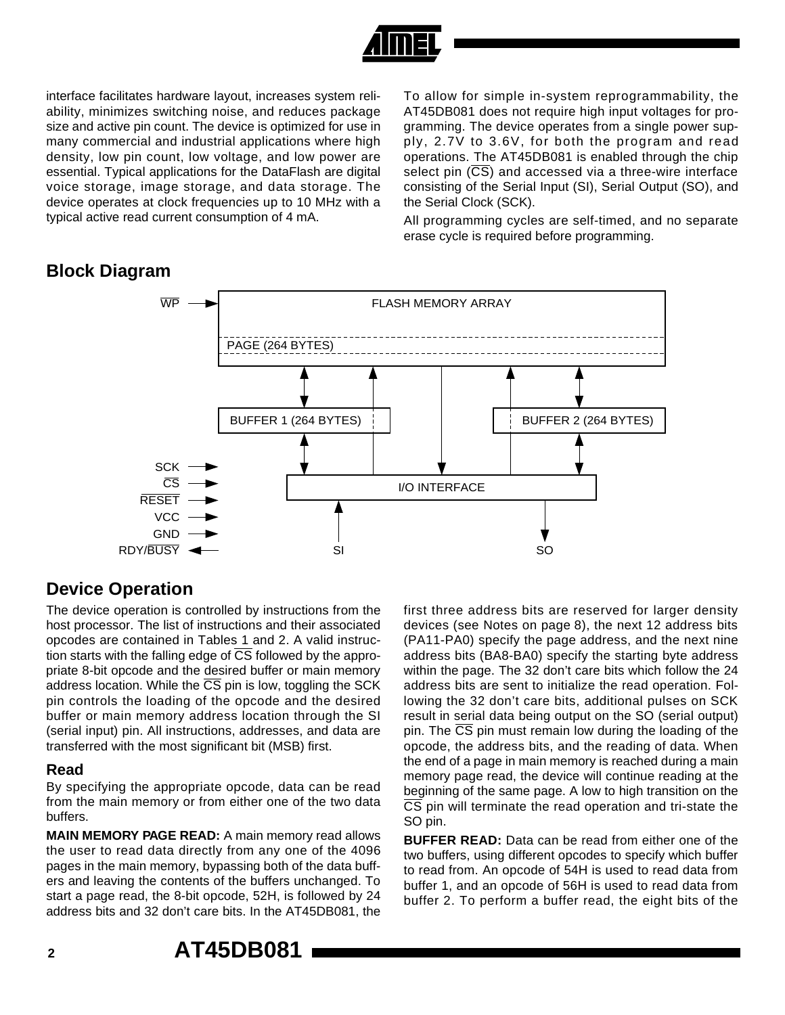

interface facilitates hardware layout, increases system reliability, minimizes switching noise, and reduces package size and active pin count. The device is optimized for use in many commercial and industrial applications where high density, low pin count, low voltage, and low power are essential. Typical applications for the DataFlash are digital voice storage, image storage, and data storage. The device operates at clock frequencies up to 10 MHz with a typical active read current consumption of 4 mA.

To allow for simple in-system reprogrammability, the AT45DB081 does not require high input voltages for programming. The device operates from a single power supply, 2.7V to 3.6V, for both the program and read operations. The AT45DB081 is enabled through the chip select pin  $(\overline{CS})$  and accessed via a three-wire interface consisting of the Serial Input (SI), Serial Output (SO), and the Serial Clock (SCK).

All programming cycles are self-timed, and no separate erase cycle is required before programming.

## **Block Diagram**



## **Device Operation**

The device operation is controlled by instructions from the host processor. The list of instructions and their associated opcodes are contained in Tables 1 and 2. A valid instruction starts with the falling edge of  $\overline{CS}$  followed by the appropriate 8-bit opcode and the desired buffer or main memory address location. While the  $\overline{CS}$  pin is low, toggling the SCK pin controls the loading of the opcode and the desired buffer or main memory address location through the SI (serial input) pin. All instructions, addresses, and data are transferred with the most significant bit (MSB) first.

#### **Read**

By specifying the appropriate opcode, data can be read from the main memory or from either one of the two data buffers.

**MAIN MEMORY PAGE READ:** A main memory read allows the user to read data directly from any one of the 4096 pages in the main memory, bypassing both of the data buffers and leaving the contents of the buffers unchanged. To start a page read, the 8-bit opcode, 52H, is followed by 24 address bits and 32 don't care bits. In the AT45DB081, the first three address bits are reserved for larger density devices (see Notes on page 8), the next 12 address bits (PA11-PA0) specify the page address, and the next nine address bits (BA8-BA0) specify the starting byte address within the page. The 32 don't care bits which follow the 24 address bits are sent to initialize the read operation. Following the 32 don't care bits, additional pulses on SCK result in serial data being output on the SO (serial output) pin. The CS pin must remain low during the loading of the opcode, the address bits, and the reading of data. When the end of a page in main memory is reached during a main memory page read, the device will continue reading at the beginning of the same page. A low to high transition on the CS pin will terminate the read operation and tri-state the SO pin.

**BUFFER READ:** Data can be read from either one of the two buffers, using different opcodes to specify which buffer to read from. An opcode of 54H is used to read data from buffer 1, and an opcode of 56H is used to read data from buffer 2. To perform a buffer read, the eight bits of the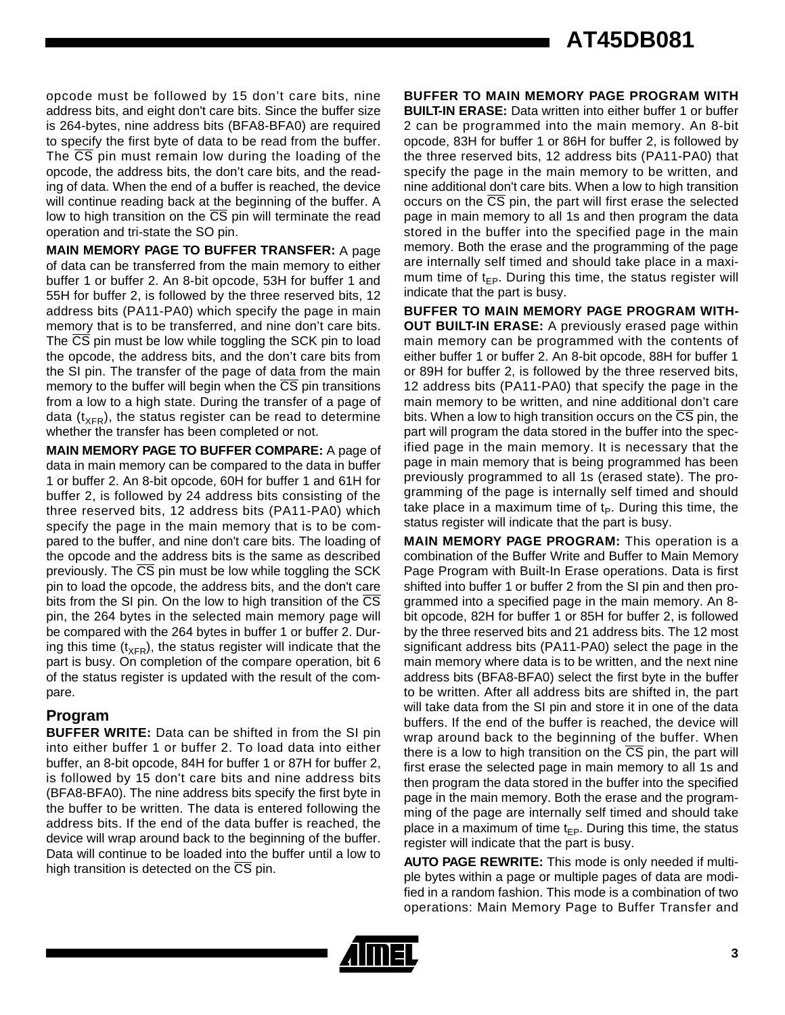opcode must be followed by 15 don't care bits, nine address bits, and eight don't care bits. Since the buffer size is 264-bytes, nine address bits (BFA8-BFA0) are required to specify the first byte of data to be read from the buffer. The CS pin must remain low during the loading of the opcode, the address bits, the don't care bits, and the reading of data. When the end of a buffer is reached, the device will continue reading back at the beginning of the buffer. A low to high transition on the CS pin will terminate the read operation and tri-state the SO pin.

**MAIN MEMORY PAGE TO BUFFER TRANSFER:** A page of data can be transferred from the main memory to either buffer 1 or buffer 2. An 8-bit opcode, 53H for buffer 1 and 55H for buffer 2, is followed by the three reserved bits, 12 address bits (PA11-PA0) which specify the page in main memory that is to be transferred, and nine don't care bits. The  $\overline{CS}$  pin must be low while toggling the SCK pin to load the opcode, the address bits, and the don't care bits from the SI pin. The transfer of the page of data from the main memory to the buffer will begin when the  $\overline{CS}$  pin transitions from a low to a high state. During the transfer of a page of data  $(t_{\text{XFR}})$ , the status register can be read to determine whether the transfer has been completed or not.

**MAIN MEMORY PAGE TO BUFFER COMPARE:** A page of data in main memory can be compared to the data in buffer 1 or buffer 2. An 8-bit opcode, 60H for buffer 1 and 61H for buffer 2, is followed by 24 address bits consisting of the three reserved bits, 12 address bits (PA11-PA0) which specify the page in the main memory that is to be compared to the buffer, and nine don't care bits. The loading of the opcode and the address bits is the same as described previously. The CS pin must be low while toggling the SCK pin to load the opcode, the address bits, and the don't care bits from the SI pin. On the low to high transition of the CS pin, the 264 bytes in the selected main memory page will be compared with the 264 bytes in buffer 1 or buffer 2. During this time  $(t_{\text{XFR}})$ , the status register will indicate that the part is busy. On completion of the compare operation, bit 6 of the status register is updated with the result of the compare.

#### **Program**

**BUFFER WRITE:** Data can be shifted in from the SI pin into either buffer 1 or buffer 2. To load data into either buffer, an 8-bit opcode, 84H for buffer 1 or 87H for buffer 2, is followed by 15 don't care bits and nine address bits (BFA8-BFA0). The nine address bits specify the first byte in the buffer to be written. The data is entered following the address bits. If the end of the data buffer is reached, the device will wrap around back to the beginning of the buffer. Data will continue to be loaded into the buffer until a low to high transition is detected on the  $\overline{CS}$  pin.

**BUFFER TO MAIN MEMORY PAGE PROGRAM WITH BUILT-IN ERASE:** Data written into either buffer 1 or buffer 2 can be programmed into the main memory. An 8-bit opcode, 83H for buffer 1 or 86H for buffer 2, is followed by the three reserved bits, 12 address bits (PA11-PA0) that specify the page in the main memory to be written, and nine additional don't care bits. When a low to high transition occurs on the  $\overline{CS}$  pin, the part will first erase the selected page in main memory to all 1s and then program the data stored in the buffer into the specified page in the main memory. Both the erase and the programming of the page are internally self timed and should take place in a maximum time of  $t_{FP}$ . During this time, the status register will indicate that the part is busy.

**BUFFER TO MAIN MEMORY PAGE PROGRAM WITH-OUT BUILT-IN ERASE:** A previously erased page within main memory can be programmed with the contents of either buffer 1 or buffer 2. An 8-bit opcode, 88H for buffer 1 or 89H for buffer 2, is followed by the three reserved bits, 12 address bits (PA11-PA0) that specify the page in the main memory to be written, and nine additional don't care bits. When a low to high transition occurs on the  $\overline{\text{CS}}$  pin, the part will program the data stored in the buffer into the specified page in the main memory. It is necessary that the page in main memory that is being programmed has been previously programmed to all 1s (erased state). The programming of the page is internally self timed and should take place in a maximum time of  $t<sub>P</sub>$ . During this time, the status register will indicate that the part is busy.

**MAIN MEMORY PAGE PROGRAM:** This operation is a combination of the Buffer Write and Buffer to Main Memory Page Program with Built-In Erase operations. Data is first shifted into buffer 1 or buffer 2 from the SI pin and then programmed into a specified page in the main memory. An 8 bit opcode, 82H for buffer 1 or 85H for buffer 2, is followed by the three reserved bits and 21 address bits. The 12 most significant address bits (PA11-PA0) select the page in the main memory where data is to be written, and the next nine address bits (BFA8-BFA0) select the first byte in the buffer to be written. After all address bits are shifted in, the part will take data from the SI pin and store it in one of the data buffers. If the end of the buffer is reached, the device will wrap around back to the beginning of the buffer. When there is a low to high transition on the  $\overline{CS}$  pin, the part will first erase the selected page in main memory to all 1s and then program the data stored in the buffer into the specified page in the main memory. Both the erase and the programming of the page are internally self timed and should take place in a maximum of time  $t_{FD}$ . During this time, the status register will indicate that the part is busy.

**AUTO PAGE REWRITE:** This mode is only needed if multiple bytes within a page or multiple pages of data are modified in a random fashion. This mode is a combination of two operations: Main Memory Page to Buffer Transfer and

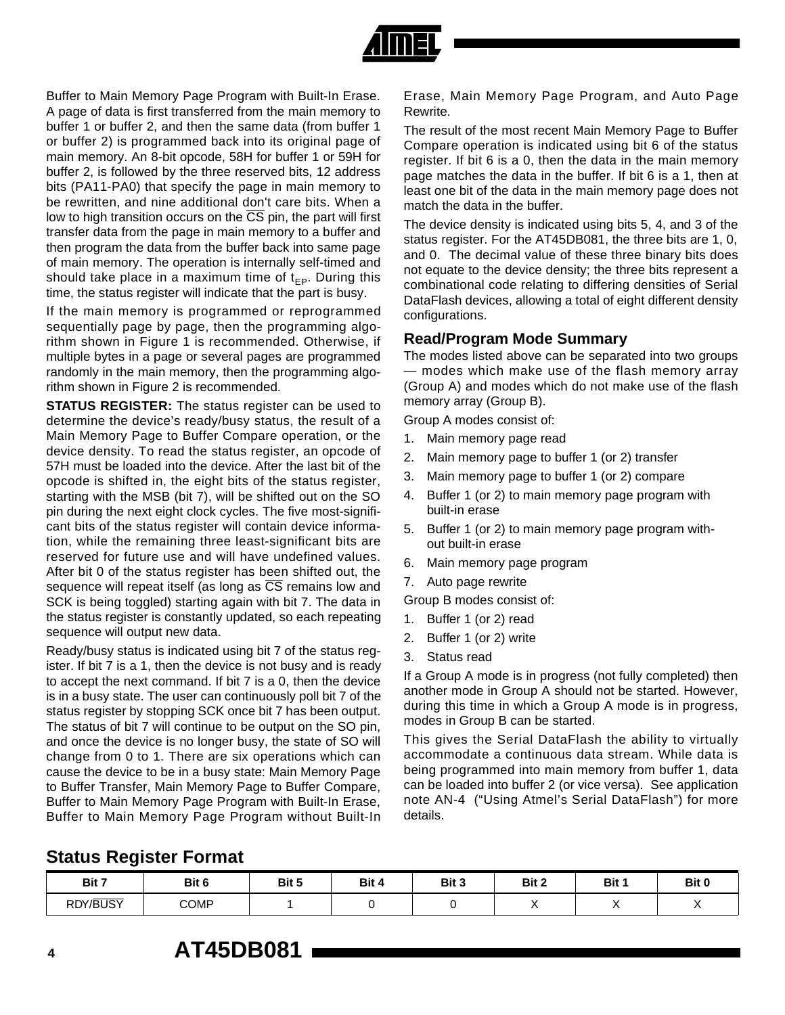

Buffer to Main Memory Page Program with Built-In Erase. A page of data is first transferred from the main memory to buffer 1 or buffer 2, and then the same data (from buffer 1 or buffer 2) is programmed back into its original page of main memory. An 8-bit opcode, 58H for buffer 1 or 59H for buffer 2, is followed by the three reserved bits, 12 address bits (PA11-PA0) that specify the page in main memory to be rewritten, and nine additional don't care bits. When a low to high transition occurs on the CS pin, the part will first transfer data from the page in main memory to a buffer and then program the data from the buffer back into same page of main memory. The operation is internally self-timed and should take place in a maximum time of  $t_{EP}$ . During this time, the status register will indicate that the part is busy.

If the main memory is programmed or reprogrammed sequentially page by page, then the programming algorithm shown in Figure 1 is recommended. Otherwise, if multiple bytes in a page or several pages are programmed randomly in the main memory, then the programming algorithm shown in Figure 2 is recommended.

**STATUS REGISTER:** The status register can be used to determine the device's ready/busy status, the result of a Main Memory Page to Buffer Compare operation, or the device density. To read the status register, an opcode of 57H must be loaded into the device. After the last bit of the opcode is shifted in, the eight bits of the status register, starting with the MSB (bit 7), will be shifted out on the SO pin during the next eight clock cycles. The five most-significant bits of the status register will contain device information, while the remaining three least-significant bits are reserved for future use and will have undefined values. After bit 0 of the status register has been shifted out, the sequence will repeat itself (as long as  $\overline{CS}$  remains low and SCK is being toggled) starting again with bit 7. The data in the status register is constantly updated, so each repeating sequence will output new data.

Ready/busy status is indicated using bit 7 of the status register. If bit 7 is a 1, then the device is not busy and is ready to accept the next command. If bit 7 is a 0, then the device is in a busy state. The user can continuously poll bit 7 of the status register by stopping SCK once bit 7 has been output. The status of bit 7 will continue to be output on the SO pin, and once the device is no longer busy, the state of SO will change from 0 to 1. There are six operations which can cause the device to be in a busy state: Main Memory Page to Buffer Transfer, Main Memory Page to Buffer Compare, Buffer to Main Memory Page Program with Built-In Erase, Buffer to Main Memory Page Program without Built-In

Erase, Main Memory Page Program, and Auto Page Rewrite.

The result of the most recent Main Memory Page to Buffer Compare operation is indicated using bit 6 of the status register. If bit 6 is a 0, then the data in the main memory page matches the data in the buffer. If bit 6 is a 1, then at least one bit of the data in the main memory page does not match the data in the buffer.

The device density is indicated using bits 5, 4, and 3 of the status register. For the AT45DB081, the three bits are 1, 0, and 0. The decimal value of these three binary bits does not equate to the device density; the three bits represent a combinational code relating to differing densities of Serial DataFlash devices, allowing a total of eight different density configurations.

#### **Read/Program Mode Summary**

The modes listed above can be separated into two groups — modes which make use of the flash memory array (Group A) and modes which do not make use of the flash memory array (Group B).

Group A modes consist of:

- 1. Main memory page read
- 2. Main memory page to buffer 1 (or 2) transfer
- 3. Main memory page to buffer 1 (or 2) compare
- 4. Buffer 1 (or 2) to main memory page program with built-in erase
- 5. Buffer 1 (or 2) to main memory page program without built-in erase
- 6. Main memory page program
- 7. Auto page rewrite

Group B modes consist of:

- 1. Buffer 1 (or 2) read
- 2. Buffer 1 (or 2) write
- 3. Status read

If a Group A mode is in progress (not fully completed) then another mode in Group A should not be started. However, during this time in which a Group A mode is in progress, modes in Group B can be started.

This gives the Serial DataFlash the ability to virtually accommodate a continuous data stream. While data is being programmed into main memory from buffer 1, data can be loaded into buffer 2 (or vice versa). See application note AN-4 ("Using Atmel's Serial DataFlash") for more details.

## **Status Register Format**

| Bit 7           | Bit 6 | Bit 5<br>___ | Bit 4<br>the contract of the contract of the | Bit 3<br>____ | Bit 2<br>the contract of the contract of the | Bit 1<br>the contract of the contract of the | Bit 0 |
|-----------------|-------|--------------|----------------------------------------------|---------------|----------------------------------------------|----------------------------------------------|-------|
| <b>RDY/BUSY</b> | COMP  |              |                                              |               | . .                                          |                                              | . .   |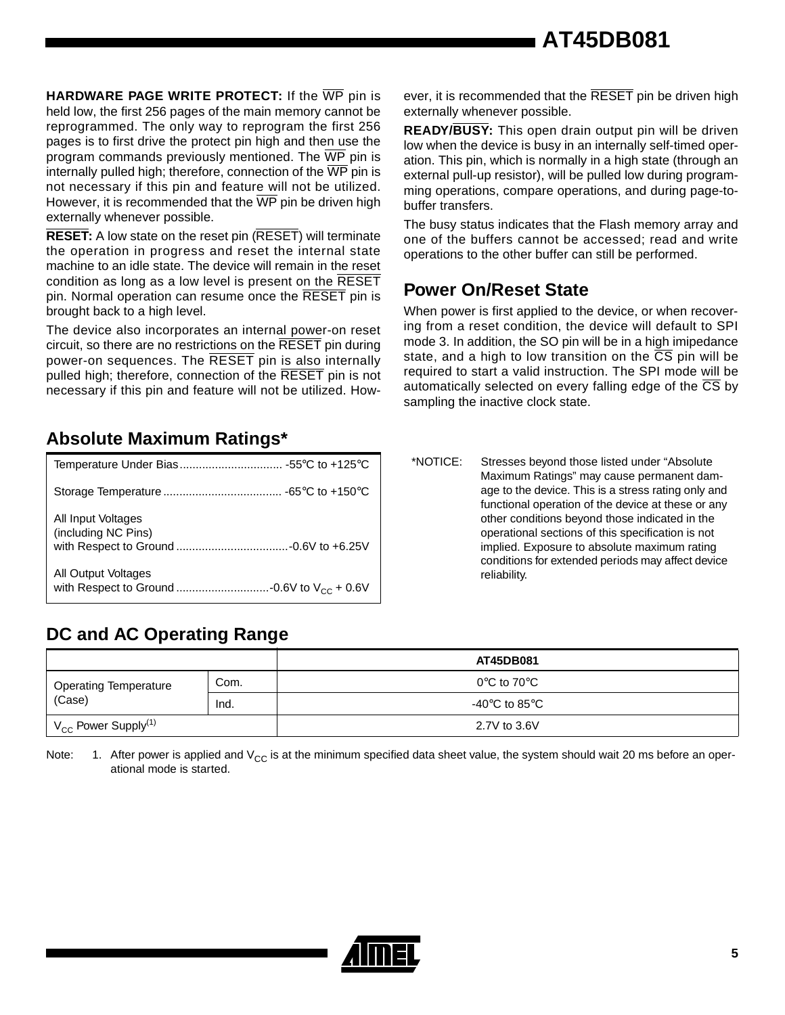**HARDWARE PAGE WRITE PROTECT:** If the WP pin is held low, the first 256 pages of the main memory cannot be reprogrammed. The only way to reprogram the first 256 pages is to first drive the protect pin high and then use the program commands previously mentioned. The WP pin is internally pulled high; therefore, connection of the  $\overline{\text{WP}}$  pin is not necessary if this pin and feature will not be utilized. However, it is recommended that the  $\overline{WP}$  pin be driven high externally whenever possible.

**RESET:** A low state on the reset pin (RESET) will terminate the operation in progress and reset the internal state machine to an idle state. The device will remain in the reset condition as long as a low level is present on the RESET pin. Normal operation can resume once the RESET pin is brought back to a high level.

The device also incorporates an internal power-on reset circuit, so there are no restrictions on the RESET pin during power-on sequences. The RESET pin is also internally pulled high; therefore, connection of the RESET pin is not necessary if this pin and feature will not be utilized. How-

# **Absolute Maximum Ratings\***

| All Input Voltages<br>(including NC Pins) |
|-------------------------------------------|
| All Output Voltages                       |

ever, it is recommended that the RESET pin be driven high externally whenever possible.

**READY/BUSY:** This open drain output pin will be driven low when the device is busy in an internally self-timed operation. This pin, which is normally in a high state (through an external pull-up resistor), will be pulled low during programming operations, compare operations, and during page-tobuffer transfers.

The busy status indicates that the Flash memory array and one of the buffers cannot be accessed; read and write operations to the other buffer can still be performed.

## **Power On/Reset State**

When power is first applied to the device, or when recovering from a reset condition, the device will default to SPI mode 3. In addition, the SO pin will be in a high imipedance state, and a high to low transition on the  $\overline{CS}$  pin will be required to start a valid instruction. The SPI mode will be automatically selected on every falling edge of the CS by sampling the inactive clock state.

\*NOTICE: Stresses beyond those listed under "Absolute Maximum Ratings" may cause permanent damage to the device. This is a stress rating only and functional operation of the device at these or any other conditions beyond those indicated in the operational sections of this specification is not implied. Exposure to absolute maximum rating conditions for extended periods may affect device reliability.

## **DC and AC Operating Range**

|                                      |      | <b>AT45DB081</b>                 |
|--------------------------------------|------|----------------------------------|
| <b>Operating Temperature</b>         | Com. | $0^{\circ}$ C to 70 $^{\circ}$ C |
| (Case)                               | Ind. | -40°C to 85°C $\,$               |
| $V_{CC}$ Power Supply <sup>(1)</sup> |      | 2.7V to 3.6V                     |

Note: 1. After power is applied and  $V_{CC}$  is at the minimum specified data sheet value, the system should wait 20 ms before an operational mode is started.

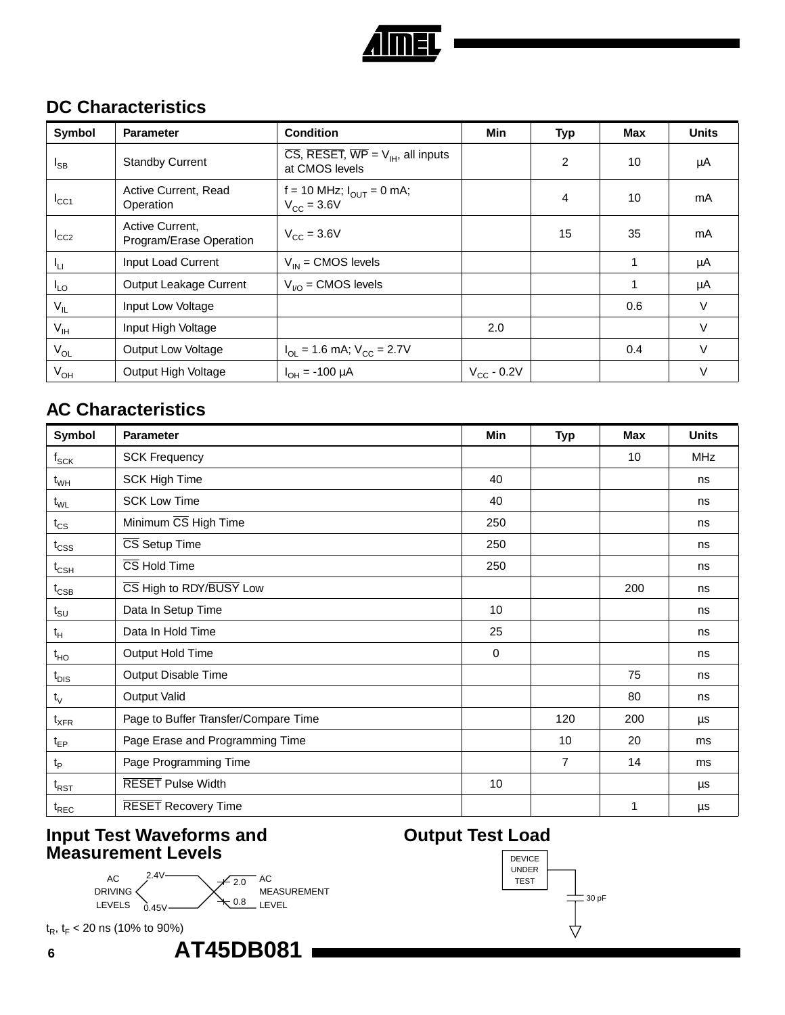

## **DC Characteristics**

| Symbol          | <b>Parameter</b>                           | <b>Min</b>                                                                              | <b>Typ</b>      | <b>Max</b> | <b>Units</b> |        |
|-----------------|--------------------------------------------|-----------------------------------------------------------------------------------------|-----------------|------------|--------------|--------|
| $I_{SB}$        | <b>Standby Current</b>                     | $\overline{CS}$ , RESET, $\overline{WP} = V_{\text{IH}}$ , all inputs<br>at CMOS levels |                 | 2          | 10           | μA     |
| $I_{\rm CC1}$   | Active Current, Read<br>Operation          | f = 10 MHz; $I_{\text{OUT}} = 0$ mA;<br>$V_{\text{CC}} = 3.6V$                          |                 | 4          | 10           | mA     |
| $I_{CC2}$       | Active Current,<br>Program/Erase Operation | $V_{CC} = 3.6V$                                                                         |                 | 15         | 35           | mA     |
| ŀц              | Input Load Current                         | $V_{IN}$ = CMOS levels                                                                  |                 |            | 1            | μA     |
| $I_{LO}$        | Output Leakage Current                     | $V_{1/2}$ = CMOS levels                                                                 |                 |            | 1            | μA     |
| $V_{IL}$        | Input Low Voltage                          |                                                                                         |                 |            | 0.6          | V      |
| $V_{\text{IH}}$ | Input High Voltage                         |                                                                                         | 2.0             |            |              | $\vee$ |
| $V_{OL}$        | Output Low Voltage                         | $I_{OL}$ = 1.6 mA; $V_{CC}$ = 2.7V                                                      |                 |            | 0.4          | $\vee$ |
| $V_{OH}$        | Output High Voltage                        | $I_{OH} = -100 \mu A$                                                                   | $V_{CC}$ - 0.2V |            |              | V      |

## **AC Characteristics**

| Symbol                         | <b>Parameter</b>                     | <b>Min</b>      | <b>Typ</b>     | Max | <b>Units</b> |
|--------------------------------|--------------------------------------|-----------------|----------------|-----|--------------|
| $\mathsf{f}_{\mathsf{SCK}}$    | <b>SCK Frequency</b>                 |                 |                | 10  | <b>MHz</b>   |
| $t_{WH}$                       | <b>SCK High Time</b>                 | 40              |                |     | ns           |
| $t_{\text{WL}}$                | <b>SCK Low Time</b>                  | 40              |                |     | ns           |
| $t_{CS}$                       | Minimum CS High Time                 | 250             |                |     | ns           |
| $t_{\text{CSS}}$               | CS Setup Time                        | 250             |                |     | ns           |
| $t_{\scriptstyle{\text{CSH}}}$ | CS Hold Time                         | 250             |                |     | ns           |
| $t_{\text{CSB}}$               | CS High to RDY/BUSY Low              |                 |                | 200 | ns           |
| $t_{\text{SU}}$                | Data In Setup Time                   | 10 <sup>1</sup> |                |     | ns           |
| $t_H$                          | Data In Hold Time                    | 25              |                |     | ns           |
| $t_{HO}$                       | Output Hold Time                     | 0               |                |     | ns           |
| $t_{\text{DIS}}$               | <b>Output Disable Time</b>           |                 |                | 75  | ns           |
| $t_{\rm V}$                    | <b>Output Valid</b>                  |                 |                | 80  | ns           |
| $t_{\sf XFR}$                  | Page to Buffer Transfer/Compare Time |                 | 120            | 200 | μs           |
| $t_{EP}$                       | Page Erase and Programming Time      |                 | 10             | 20  | ms           |
| $t_{\mathsf{P}}$               | Page Programming Time                |                 | $\overline{7}$ | 14  | ms           |
| $t_{\sf RST}$                  | <b>RESET Pulse Width</b>             | 10 <sup>1</sup> |                |     | μs           |
| $t_{REC}$                      | <b>RESET</b> Recovery Time           |                 |                | 1   | $\mu s$      |

## **Input Test Waveforms and Measurement Levels**



 $t_R$ ,  $t_F$  < 20 ns (10% to 90%)

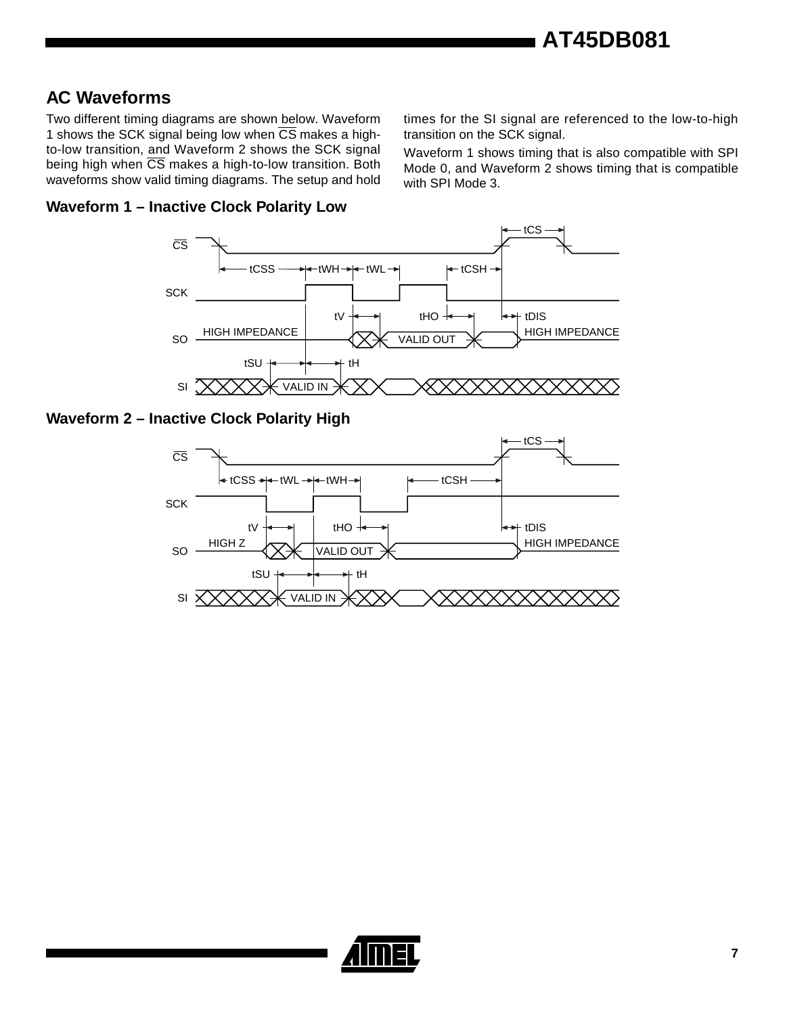## **AC Waveforms**

Two different timing diagrams are shown below. Waveform 1 shows the SCK signal being low when  $\overline{\text{CS}}$  makes a highto-low transition, and Waveform 2 shows the SCK signal being high when  $\overline{CS}$  makes a high-to-low transition. Both waveforms show valid timing diagrams. The setup and hold times for the SI signal are referenced to the low-to-high transition on the SCK signal.

Waveform 1 shows timing that is also compatible with SPI Mode 0, and Waveform 2 shows timing that is compatible with SPI Mode 3.









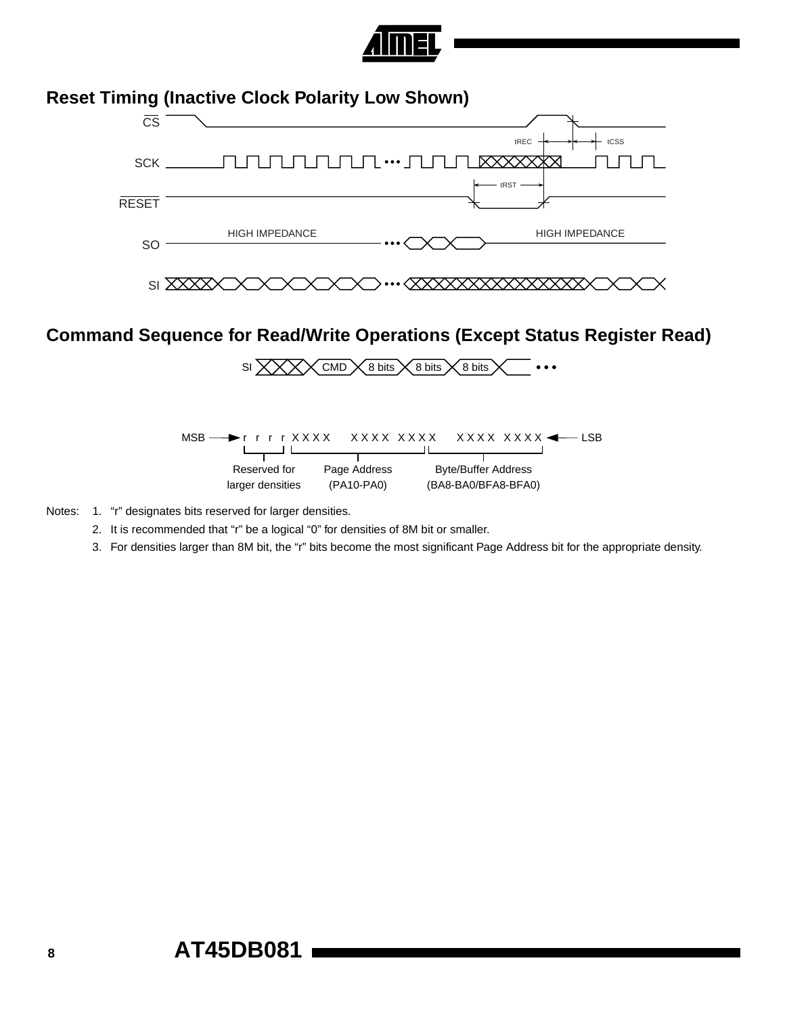





Notes: 1. "r" designates bits reserved for larger densities.

- 2. It is recommended that "r" be a logical "0" for densities of 8M bit or smaller.
- 3. For densities larger than 8M bit, the "r" bits become the most significant Page Address bit for the appropriate density.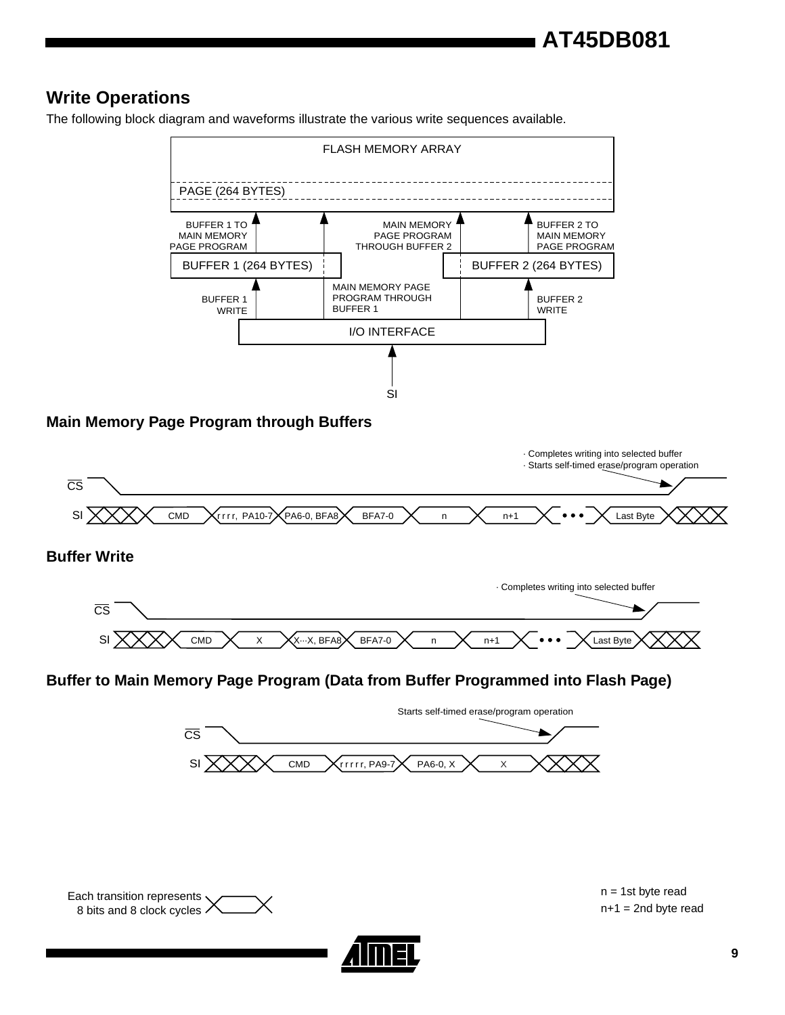## **Write Operations**

FLASH MEMORY ARRAY PAGE (264 BYTES) BUFFER 1 (264 BYTES) BUFFER 2 (264 BYTES) I/O INTERFACE SI BUFFER 1 TO MAIN MEMORY PAGE PROGRAM MAIN MEMORY PAGE PROGRAM THROUGH BUFFER 2 BUFFER 2 TO MAIN MEMORY PAGE PROGRAM MAIN MEMORY PAGE PROGRAM THROUGH BUFFER 1 BUFFER 1 WRITE BUFFER 2 WRITE

The following block diagram and waveforms illustrate the various write sequences available.

#### **Main Memory Page Program through Buffers**





#### **Buffer to Main Memory Page Program (Data from Buffer Programmed into Flash Page)**





 $n = 1$ st byte read  $n+1 = 2nd$  byte read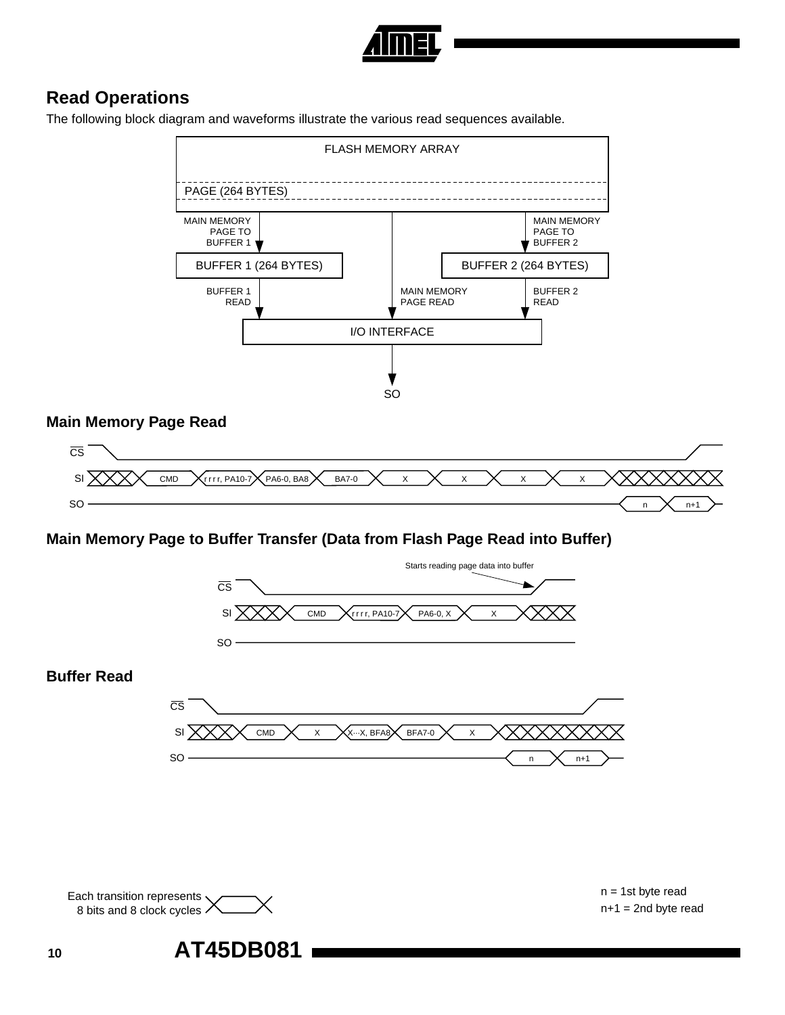

## **Read Operations**

The following block diagram and waveforms illustrate the various read sequences available.



#### **Main Memory Page Read**



## **Main Memory Page to Buffer Transfer (Data from Flash Page Read into Buffer)**



#### **Buffer Read**



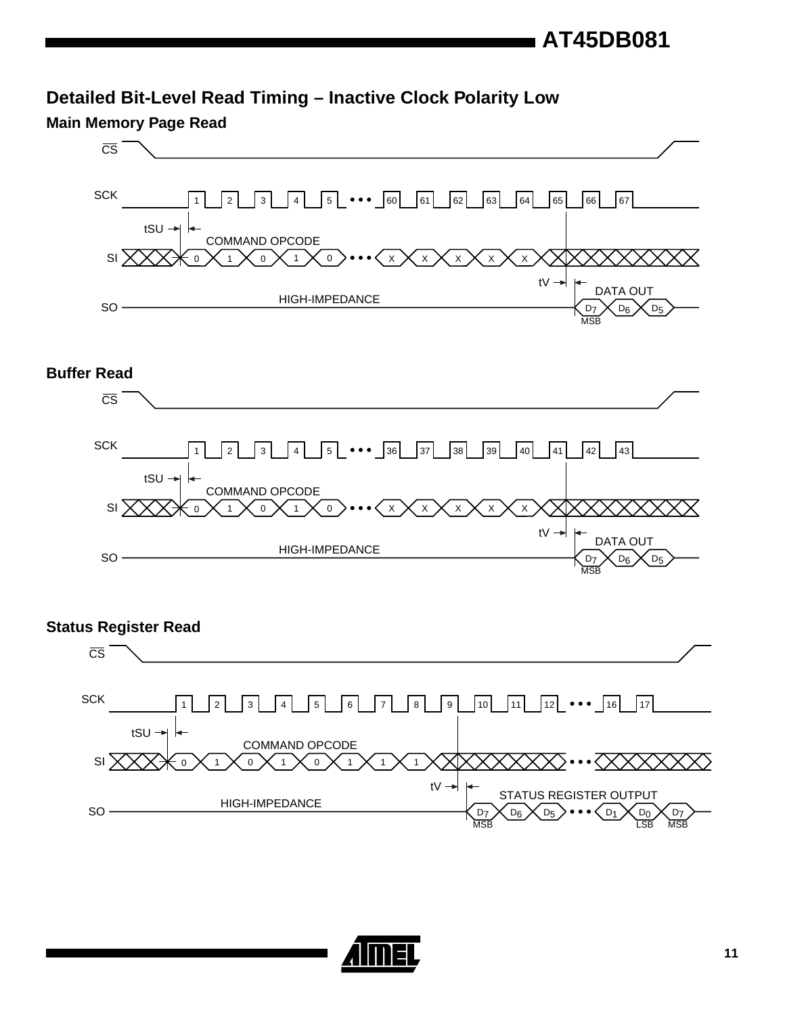## **Detailed Bit-Level Read Timing – Inactive Clock Polarity Low**



#### **Buffer Read**



#### **Status Register Read**



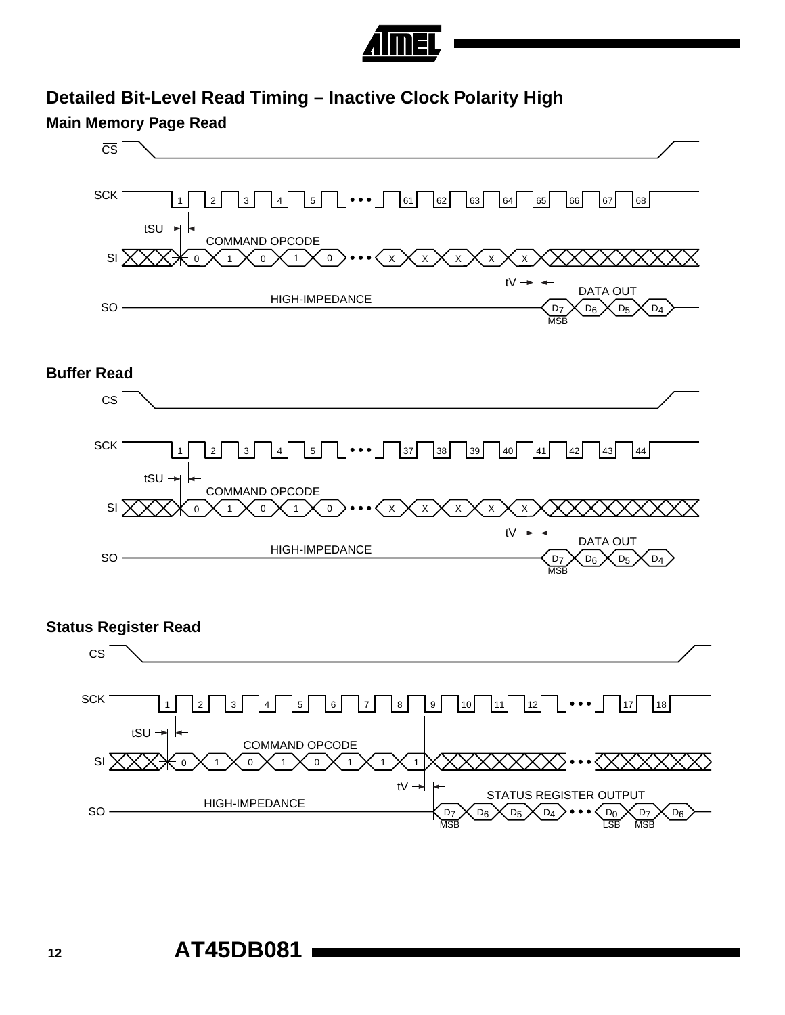

## **Detailed Bit-Level Read Timing – Inactive Clock Polarity High**

## **Main Memory Page Read**



#### **Buffer Read**





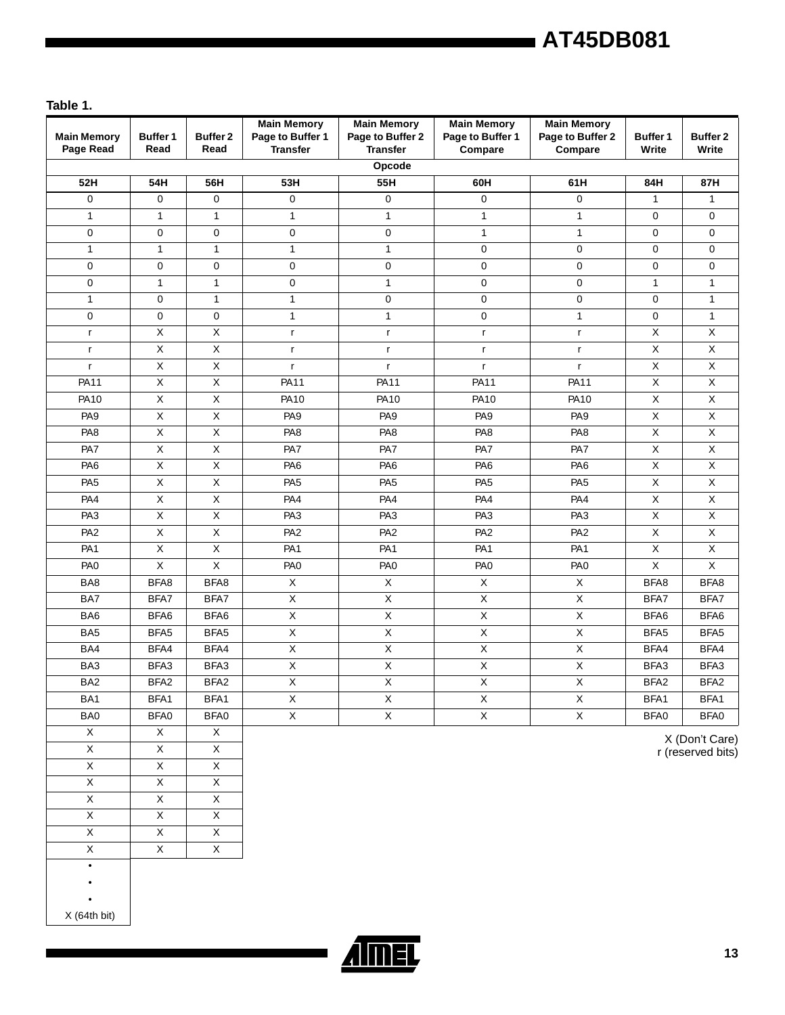**Table 1.** 

| <b>Main Memory</b><br>Page Read | <b>Buffer 1</b><br>Read   | <b>Buffer 2</b><br>Read | <b>Main Memory</b><br>Page to Buffer 1<br><b>Transfer</b> | <b>Main Memory</b><br>Page to Buffer 2<br><b>Transfer</b> | <b>Main Memory</b><br>Page to Buffer 1<br>Compare | <b>Main Memory</b><br>Page to Buffer 2<br>Compare | Buffer 1<br>Write       | Buffer <sub>2</sub><br>Write |
|---------------------------------|---------------------------|-------------------------|-----------------------------------------------------------|-----------------------------------------------------------|---------------------------------------------------|---------------------------------------------------|-------------------------|------------------------------|
|                                 |                           |                         |                                                           | Opcode                                                    |                                                   |                                                   |                         |                              |
| 52H                             | 54H                       | 56H                     | 53H                                                       | 55H                                                       | 60H                                               | 61H                                               | 84H                     | 87H                          |
| 0                               | $\mathbf 0$               | $\mathbf 0$             | $\mathbf 0$                                               | $\mathbf 0$                                               | $\mathsf{O}\xspace$                               | $\mathbf 0$                                       | $\mathbf{1}$            | $\mathbf{1}$                 |
| $\mathbf{1}$                    | $\mathbf{1}$              | $\mathbf{1}$            | $\mathbf{1}$                                              | $\mathbf{1}$                                              | $\mathbf{1}$                                      | $\mathbf{1}$                                      | 0                       | 0                            |
| 0                               | $\mathbf 0$               | $\mathbf 0$             | $\mathbf 0$                                               | $\mathsf{O}\xspace$                                       | $\mathbf{1}$                                      | $\mathbf{1}$                                      | $\mathbf 0$             | $\pmb{0}$                    |
| $\mathbf{1}$                    | $\mathbf{1}$              | 1                       | $\mathbf{1}$                                              | $\mathbf{1}$                                              | 0                                                 | 0                                                 | 0                       | 0                            |
| 0                               | 0                         | 0                       | $\mathbf 0$                                               | 0                                                         | 0                                                 | 0                                                 | 0                       | 0                            |
| 0                               | $\mathbf{1}$              | $\mathbf{1}$            | $\pmb{0}$                                                 | $\mathbf{1}$                                              | 0                                                 | 0                                                 | $\mathbf{1}$            | 1                            |
| $\mathbf{1}$                    | 0                         | 1                       | $\mathbf{1}$                                              | $\mathbf 0$                                               | 0                                                 | 0                                                 | $\pmb{0}$               | 1                            |
| 0                               | 0                         | 0                       | $\mathbf{1}$                                              | $\mathbf{1}$                                              | 0                                                 | $\mathbf{1}$                                      | 0                       | $\mathbf{1}$                 |
| $\mathsf{r}$                    | $\mathsf X$               | $\mathsf X$             | r                                                         | $\mathsf{r}$                                              | r                                                 | r                                                 | $\sf X$                 | $\mathsf X$                  |
| $\mathbf{r}$                    | $\mathsf X$               | $\mathsf X$             | r                                                         | r                                                         | r                                                 | r                                                 | $\mathsf X$             | $\mathsf X$                  |
| $\mathsf{r}$                    | X                         | $\mathsf X$             | r                                                         | r                                                         | r                                                 | r                                                 | $\mathsf X$             | $\mathsf X$                  |
| <b>PA11</b>                     | $\mathsf X$               | $\sf X$                 | <b>PA11</b>                                               | <b>PA11</b>                                               | <b>PA11</b>                                       | <b>PA11</b>                                       | $\mathsf X$             | $\mathsf X$                  |
| <b>PA10</b>                     | $\boldsymbol{\mathsf{X}}$ | $\mathsf X$             | <b>PA10</b>                                               | <b>PA10</b>                                               | <b>PA10</b>                                       | PA10                                              | $\mathsf X$             | $\mathsf X$                  |
| PA <sub>9</sub>                 | X                         | $\mathsf X$             | PA <sub>9</sub>                                           | PA <sub>9</sub>                                           | PA <sub>9</sub>                                   | PA <sub>9</sub>                                   | $\mathsf X$             | $\mathsf X$                  |
| PA <sub>8</sub>                 | $\mathsf X$               | $\mathsf X$             | PA <sub>8</sub>                                           | PA8                                                       | PA <sub>8</sub>                                   | PA8                                               | $\mathsf X$             | $\mathsf X$                  |
| PA7                             | $\mathsf X$               | $\mathsf X$             | PA7                                                       | PA7                                                       | PA7                                               | PA7                                               | $\overline{\mathsf{x}}$ | $\overline{X}$               |
| PA <sub>6</sub>                 | X                         | $\mathsf X$             | PA <sub>6</sub>                                           | PA <sub>6</sub>                                           | PA <sub>6</sub>                                   | PA <sub>6</sub>                                   | $\mathsf X$             | $\mathsf X$                  |
| PA <sub>5</sub>                 | $\mathsf X$               | $\mathsf X$             | PA <sub>5</sub>                                           | PA <sub>5</sub>                                           | PA <sub>5</sub>                                   | PA <sub>5</sub>                                   | $\sf X$                 | $\mathsf X$                  |
| PA4                             | $\mathsf X$               | $\mathsf X$             | PA4                                                       | PA4                                                       | PA4                                               | PA4                                               | $\overline{X}$          | $\mathsf X$                  |
| PA <sub>3</sub>                 | X                         | $\mathsf X$             | PA <sub>3</sub>                                           | PA <sub>3</sub>                                           | PA <sub>3</sub>                                   | PA <sub>3</sub>                                   | $\mathsf X$             | $\mathsf X$                  |
| PA <sub>2</sub>                 | $\mathsf X$               | $\sf X$                 | PA <sub>2</sub>                                           | PA <sub>2</sub>                                           | PA <sub>2</sub>                                   | PA <sub>2</sub>                                   | $\mathsf X$             | $\mathsf X$                  |
| PA <sub>1</sub>                 | $\mathsf X$               | $\overline{X}$          | PA <sub>1</sub>                                           | PA <sub>1</sub>                                           | PA <sub>1</sub>                                   | PA <sub>1</sub>                                   | $\overline{X}$          | $\overline{X}$               |
| PA <sub>0</sub>                 | X                         | $\mathsf X$             | PA <sub>0</sub>                                           | PA <sub>0</sub>                                           | PA <sub>0</sub>                                   | PA <sub>0</sub>                                   | $\mathsf X$             | $\mathsf X$                  |
| BA8                             | BFA8                      | BFA8                    | $\mathsf X$                                               | $\mathsf X$                                               | $\mathsf X$                                       | $\mathsf X$                                       | BFA8                    | BFA8                         |
| BA7                             | BFA7                      | BFA7                    | $\mathsf X$                                               | $\mathsf X$                                               | $\mathsf X$                                       | $\mathsf X$                                       | BFA7                    | BFA7                         |
| BA6                             | BFA6                      | BFA6                    | $\mathsf X$                                               | $\mathsf X$                                               | $\mathsf X$                                       | $\mathsf X$                                       | BFA6                    | BFA6                         |
| BA <sub>5</sub>                 | BFA5                      | BFA5                    | $\mathsf X$                                               | $\mathsf X$                                               | $\mathsf X$                                       | $\mathsf X$                                       | BFA <sub>5</sub>        | BFA5                         |
| BA4                             | BFA4                      | BFA4                    | $\mathsf X$                                               | $\mathsf X$                                               | $\mathsf X$                                       | $\mathsf X$                                       | BFA4                    | BFA4                         |
| BA3                             | BFA3                      | BFA3                    | $\mathsf X$                                               | $\mathsf X$                                               | X                                                 | $\mathsf X$                                       | BFA3                    | BFA3                         |
| BA <sub>2</sub>                 | BFA <sub>2</sub>          | BFA <sub>2</sub>        | $\mathsf X$                                               | $\mathsf X$                                               | X                                                 | $\mathsf X$                                       | BFA <sub>2</sub>        | BFA <sub>2</sub>             |
| BA1                             | BFA1                      | BFA1                    | $\mathsf X$                                               | $\mathsf X$                                               | $\mathsf X$                                       | $\overline{\mathsf{X}}$                           | BFA1                    | BFA1                         |
| BA0                             | BFA0                      | BFA0                    | $\mathsf X$                                               | $\overline{X}$                                            | $\overline{X}$                                    | $\mathsf X$                                       | BFA0                    | BFA0                         |
| $\mathsf X$                     | $\mathsf X$               | $\mathsf X$             |                                                           |                                                           |                                                   |                                                   |                         | X (Don't Care)               |
| $\mathsf X$                     | $\mathsf X$               | $\mathsf X$             |                                                           |                                                           |                                                   |                                                   |                         | r (reserved bits)            |
| $\mathsf X$                     | $\mathsf X$               | $\mathsf X$             |                                                           |                                                           |                                                   |                                                   |                         |                              |
| $\mathsf X$                     | $\mathsf X$               | $\mathsf X$             |                                                           |                                                           |                                                   |                                                   |                         |                              |
| $\mathsf X$                     | $\mathsf X$               | $\mathsf X$             |                                                           |                                                           |                                                   |                                                   |                         |                              |
| $\mathsf X$                     | $\mathsf X$               | $\mathsf X$             |                                                           |                                                           |                                                   |                                                   |                         |                              |
| $\mathsf X$                     | $\mathsf X$               | $\mathsf X$             |                                                           |                                                           |                                                   |                                                   |                         |                              |
| $\overline{X}$                  | $\mathsf X$               | $\mathsf X$             |                                                           |                                                           |                                                   |                                                   |                         |                              |
| $\bullet$                       |                           |                         |                                                           |                                                           |                                                   |                                                   |                         |                              |
|                                 |                           |                         |                                                           |                                                           |                                                   |                                                   |                         |                              |
|                                 |                           |                         |                                                           |                                                           |                                                   |                                                   |                         |                              |

X (64th bit)



 $\blacksquare$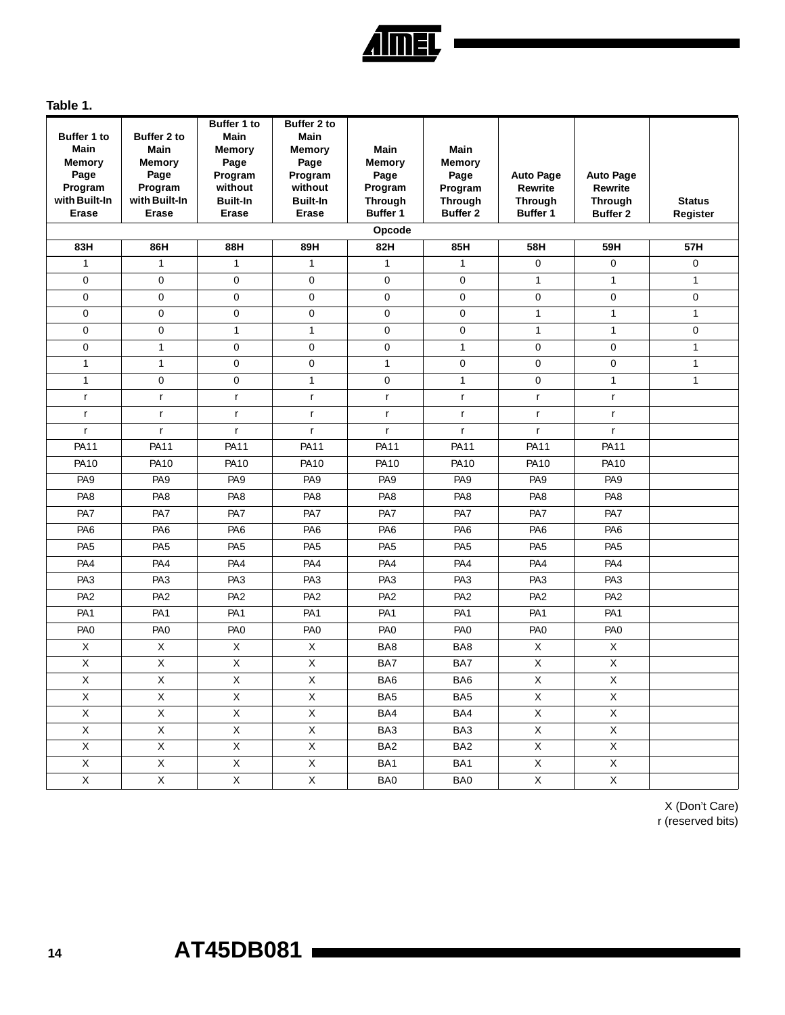

#### **Table 1.**

| Buffer 1 to                       | Buffer 2 to                              | Buffer 1 to<br><b>Main</b>                  | Buffer 2 to<br>Main                         |                                                 |                                                 |                                   |                             |                           |
|-----------------------------------|------------------------------------------|---------------------------------------------|---------------------------------------------|-------------------------------------------------|-------------------------------------------------|-----------------------------------|-----------------------------|---------------------------|
| Main<br>Memory<br>Page<br>Program | <b>Main</b><br>Memory<br>Page<br>Program | <b>Memory</b><br>Page<br>Program<br>without | <b>Memory</b><br>Page<br>Program<br>without | <b>Main</b><br><b>Memory</b><br>Page<br>Program | <b>Main</b><br><b>Memory</b><br>Page<br>Program | <b>Auto Page</b><br>Rewrite       | <b>Auto Page</b><br>Rewrite |                           |
| with Built-In<br><b>Erase</b>     | with Built-In<br><b>Erase</b>            | <b>Built-In</b><br>Erase                    | <b>Built-In</b><br><b>Erase</b>             | <b>Through</b><br><b>Buffer 1</b>               | Through<br><b>Buffer 2</b>                      | <b>Through</b><br><b>Buffer 1</b> | Through<br><b>Buffer 2</b>  | <b>Status</b><br>Register |
|                                   |                                          |                                             |                                             | Opcode                                          |                                                 |                                   |                             |                           |
| 83H                               | 86H                                      | 88H                                         | 89H                                         | 82H                                             | 85H                                             | 58H                               | 59H                         | 57H                       |
| $\mathbf{1}$                      | $\mathbf{1}$                             | $\mathbf{1}$                                | $\mathbf{1}$                                | $\mathbf{1}$                                    | $\mathbf{1}$                                    | 0                                 | $\mathbf 0$                 | 0                         |
| 0                                 | 0                                        | 0                                           | $\mathbf 0$                                 | 0                                               | $\mathbf 0$                                     | $\mathbf{1}$                      | $\mathbf{1}$                | $\mathbf{1}$              |
| 0                                 | 0                                        | 0                                           | 0                                           | 0                                               | $\mathbf 0$                                     | 0                                 | $\mathbf 0$                 | 0                         |
| $\mathbf 0$                       | 0                                        | $\mathbf 0$                                 | $\mathbf 0$                                 | $\mathbf 0$                                     | $\mathbf 0$                                     | $\mathbf{1}$                      | $\mathbf{1}$                | $\mathbf{1}$              |
| $\mathbf 0$                       | 0                                        | $\mathbf{1}$                                | $\mathbf{1}$                                | $\mathbf 0$                                     | $\mathbf 0$                                     | $\mathbf{1}$                      | $\mathbf{1}$                | 0                         |
| $\pmb{0}$                         | $\mathbf{1}$                             | $\pmb{0}$                                   | 0                                           | 0                                               | $\mathbf{1}$                                    | 0                                 | $\mathbf 0$                 | $\mathbf{1}$              |
| $\mathbf{1}$                      | $\mathbf{1}$                             | $\pmb{0}$                                   | 0                                           | 1                                               | 0                                               | 0                                 | 0                           | $\mathbf{1}$              |
| $\mathbf{1}$                      | 0                                        | 0                                           | $\mathbf{1}$                                | 0                                               | $\mathbf{1}$                                    | 0                                 | $\mathbf{1}$                | $\mathbf{1}$              |
| $\mathsf{r}$                      | $\mathsf{r}$                             | $\mathsf{r}$                                | r                                           | $\mathsf{r}$                                    | r                                               | $\mathsf{r}$                      | $\mathbf{r}$                |                           |
| r                                 | $\mathsf{r}$                             | $\mathsf{r}$                                | r                                           | $\mathbf{r}$                                    | r                                               | $\mathsf{r}$                      | $\mathsf{r}$                |                           |
| r                                 | $\mathsf{r}$                             | $\mathsf{r}$                                | r                                           | r                                               | r                                               | $\mathbf{r}$                      | $\mathsf{r}$                |                           |
| <b>PA11</b>                       | <b>PA11</b>                              | <b>PA11</b>                                 | <b>PA11</b>                                 | <b>PA11</b>                                     | <b>PA11</b>                                     | <b>PA11</b>                       | <b>PA11</b>                 |                           |
| <b>PA10</b>                       | <b>PA10</b>                              | <b>PA10</b>                                 | <b>PA10</b>                                 | <b>PA10</b>                                     | <b>PA10</b>                                     | <b>PA10</b>                       | <b>PA10</b>                 |                           |
| PA <sub>9</sub>                   | PA <sub>9</sub>                          | PA <sub>9</sub>                             | PA <sub>9</sub>                             | PA <sub>9</sub>                                 | PA <sub>9</sub>                                 | PA <sub>9</sub>                   | PA <sub>9</sub>             |                           |
| PA8                               | PA <sub>8</sub>                          | PA <sub>8</sub>                             | PA8                                         | PA <sub>8</sub>                                 | PA8                                             | PA <sub>8</sub>                   | PA8                         |                           |
| PA7                               | PA7                                      | PA7                                         | PA7                                         | PA7                                             | PA7                                             | PA7                               | PA7                         |                           |
| PA <sub>6</sub>                   | PA <sub>6</sub>                          | PA <sub>6</sub>                             | PA <sub>6</sub>                             | PA <sub>6</sub>                                 | PA <sub>6</sub>                                 | PA <sub>6</sub>                   | PA <sub>6</sub>             |                           |
| PA <sub>5</sub>                   | PA <sub>5</sub>                          | PA <sub>5</sub>                             | PA <sub>5</sub>                             | PA <sub>5</sub>                                 | PA <sub>5</sub>                                 | PA <sub>5</sub>                   | PA <sub>5</sub>             |                           |
| PA4                               | PA4                                      | PA4                                         | PA4                                         | PA4                                             | PA4                                             | PA4                               | PA4                         |                           |
| PA <sub>3</sub>                   | PA <sub>3</sub>                          | PA <sub>3</sub>                             | PA <sub>3</sub>                             | PA <sub>3</sub>                                 | PA <sub>3</sub>                                 | PA <sub>3</sub>                   | PA <sub>3</sub>             |                           |
| PA <sub>2</sub>                   | PA <sub>2</sub>                          | PA <sub>2</sub>                             | PA <sub>2</sub>                             | PA <sub>2</sub>                                 | PA <sub>2</sub>                                 | PA <sub>2</sub>                   | PA <sub>2</sub>             |                           |
| PA <sub>1</sub>                   | PA <sub>1</sub>                          | PA <sub>1</sub>                             | PA <sub>1</sub>                             | PA <sub>1</sub>                                 | PA <sub>1</sub>                                 | PA <sub>1</sub>                   | PA <sub>1</sub>             |                           |
| PA <sub>0</sub>                   | PA <sub>0</sub>                          | PA <sub>0</sub>                             | PA <sub>0</sub>                             | PA <sub>0</sub>                                 | PA <sub>0</sub>                                 | PA <sub>0</sub>                   | PA <sub>0</sub>             |                           |
| X                                 | $\mathsf X$                              | X                                           | X                                           | BA8                                             | BA8                                             | X                                 | X                           |                           |
| $\mathsf X$                       | $\mathsf X$                              | $\mathsf X$                                 | $\mathsf X$                                 | BA7                                             | BA7                                             | $\mathsf X$                       | X                           |                           |
| $\mathsf X$                       | $\pmb{\times}$                           | $\mathsf{X}$                                | X                                           | BA6                                             | BA6                                             | X                                 | X                           |                           |
| X                                 | X                                        | X                                           | X                                           | BA5                                             | BA5                                             | X                                 | X                           |                           |
| $\mathsf{X}$                      | $\mathsf X$                              | $\mathsf{X}$                                | $\mathsf{X}$                                | BA4                                             | BA4                                             | $\mathsf{X}$                      | $\mathsf{X}$                |                           |
| $\mathsf X$                       | $\mathsf X$                              | $\mathsf{X}^-$                              | $\mathsf{X}^-$                              | BA3                                             | BA3                                             | $\mathsf X$                       | X                           |                           |
| $\mathsf X$                       | $\mathsf X$                              | $\mathsf X$                                 | $\mathsf X$                                 | BA <sub>2</sub>                                 | BA <sub>2</sub>                                 | $\mathsf X$                       | $\mathsf X$                 |                           |
| $\mathsf X$                       | $\mathsf X$                              | $\mathsf X$                                 | $\mathsf X$                                 | BA1                                             | BA1                                             | $\mathsf X$                       | $\mathsf X$                 |                           |
| $\mathsf X$                       | $\mathsf X$                              | $\mathsf X$                                 | $\mathsf{X}^-$                              | BA0                                             | BA0                                             | X                                 | X                           |                           |

X (Don't Care) r (reserved bits)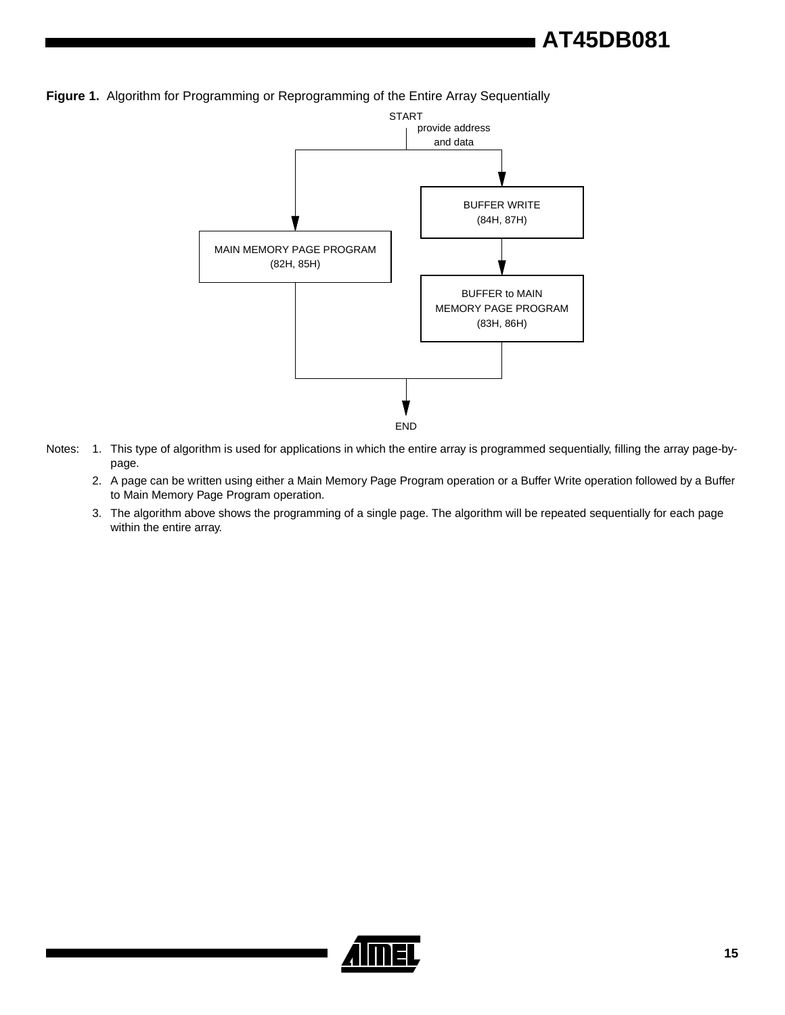



- Notes: 1. This type of algorithm is used for applications in which the entire array is programmed sequentially, filling the array page-bypage.
	- 2. A page can be written using either a Main Memory Page Program operation or a Buffer Write operation followed by a Buffer to Main Memory Page Program operation.
	- 3. The algorithm above shows the programming of a single page. The algorithm will be repeated sequentially for each page within the entire array.

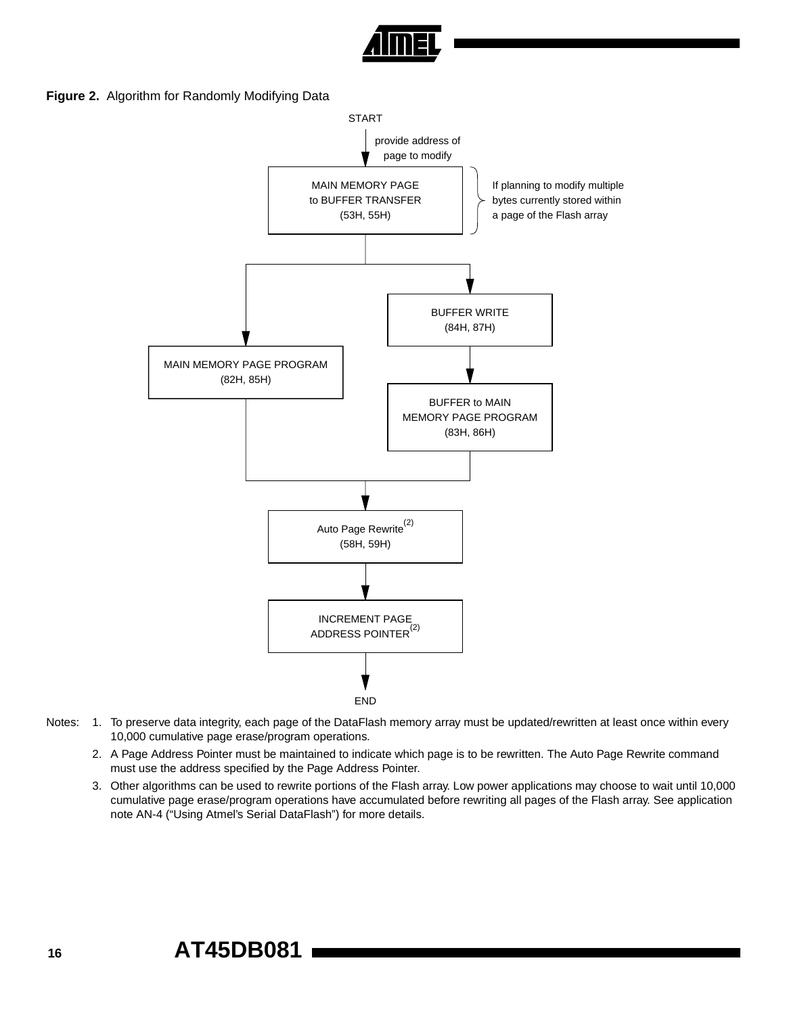

**Figure 2.** Algorithm for Randomly Modifying Data



- Notes: 1. To preserve data integrity, each page of the DataFlash memory array must be updated/rewritten at least once within every 10,000 cumulative page erase/program operations.
	- 2. A Page Address Pointer must be maintained to indicate which page is to be rewritten. The Auto Page Rewrite command must use the address specified by the Page Address Pointer.
	- 3. Other algorithms can be used to rewrite portions of the Flash array. Low power applications may choose to wait until 10,000 cumulative page erase/program operations have accumulated before rewriting all pages of the Flash array. See application note AN-4 ("Using Atmel's Serial DataFlash") for more details.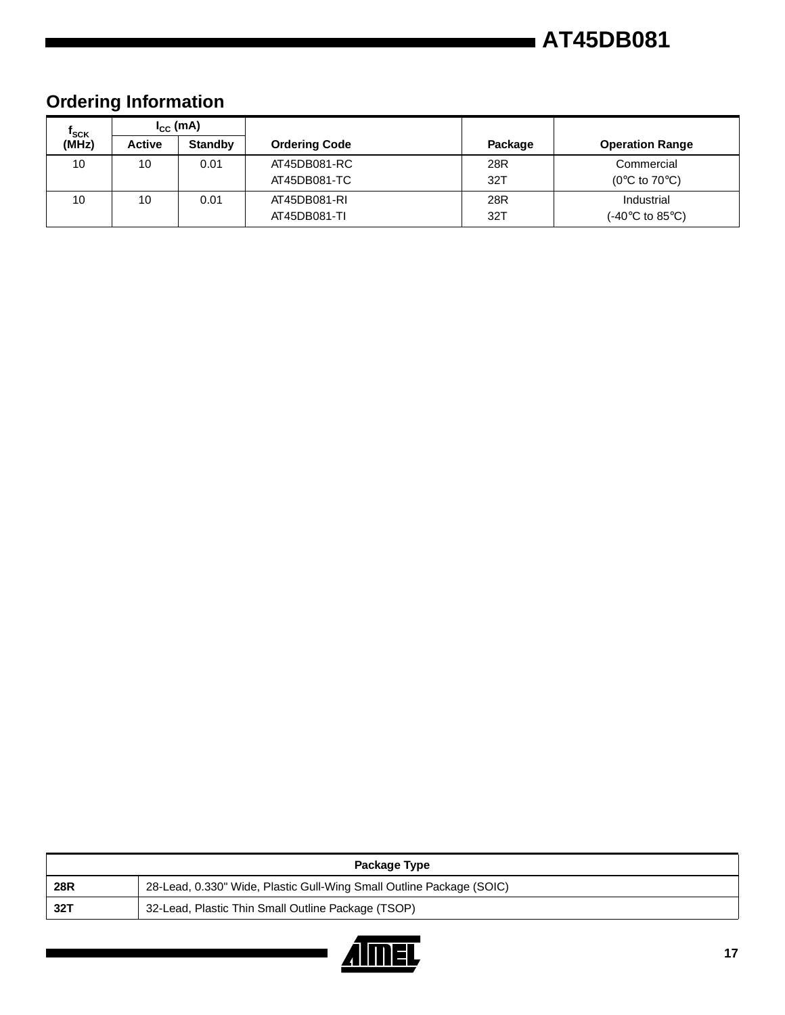

# **Ordering Information**

| <sup>I</sup> SCK | $I_{CC}$ (mA) |                |                      |         |                                    |
|------------------|---------------|----------------|----------------------|---------|------------------------------------|
| (MHz)            | <b>Active</b> | <b>Standby</b> | <b>Ordering Code</b> | Package | <b>Operation Range</b>             |
| 10               | 10            | 0.01           | AT45DB081-RC         | 28R     | Commercial                         |
|                  |               |                | AT45DB081-TC         | 32T     | ( $0^{\circ}$ C to $70^{\circ}$ C) |
| 10               | 10            | 0.01           | AT45DB081-RI         | 28R     | Industrial                         |
|                  |               |                | AT45DB081-TI         | 32T     | (-40°C to 85°C)                    |

|       | Package Type                                                         |
|-------|----------------------------------------------------------------------|
| 28R   | 28-Lead, 0.330" Wide, Plastic Gull-Wing Small Outline Package (SOIC) |
| - 32T | 32-Lead, Plastic Thin Small Outline Package (TSOP)                   |

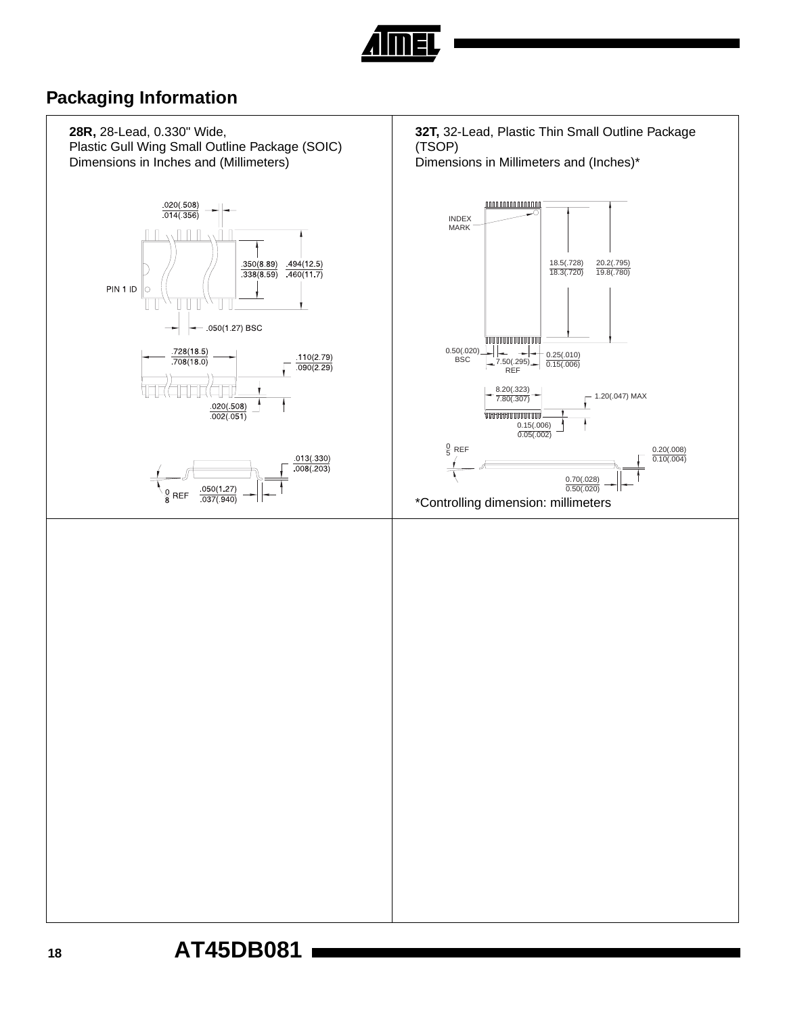

## **Packaging Information**

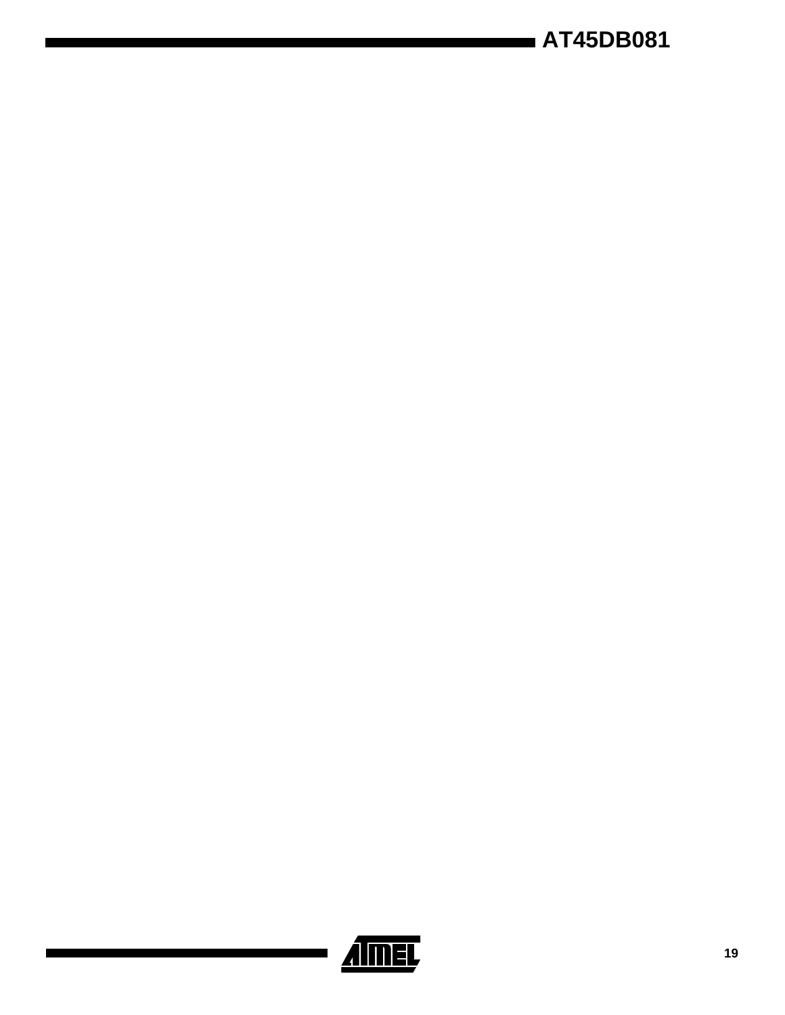